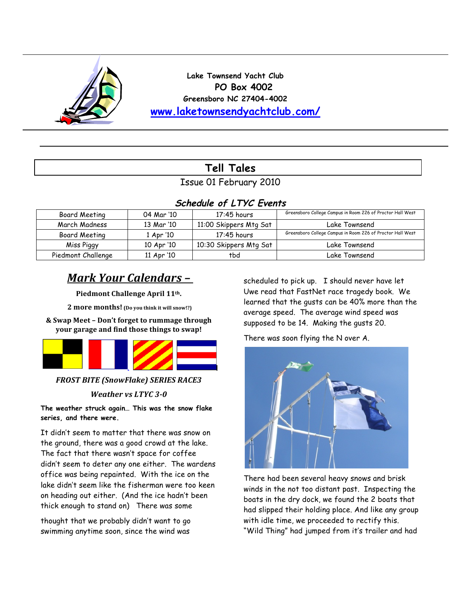

**Lake Townsend Yacht Club PO Box 4002 Greensboro NC 27404-4002 www.laketownsendyachtclub.com/**

# **Tell Tales**

Issue 01 February 2010

### **Schedule of LTYC Events**

| Board Meeting      | 04 Mar '10 | $17:45$ hours          | Greensboro College Campus in Room 226 of Proctor Hall West |
|--------------------|------------|------------------------|------------------------------------------------------------|
| March Madness      | 13 Mar '10 | 11:00 Skippers Mtg Sat | Lake Townsend                                              |
| Board Meeting      | 1 Apr '10  | $17:45$ hours          | Greensboro College Campus in Room 226 of Proctor Hall West |
| Miss Piggy         | 10 Apr '10 | 10:30 Skippers Mtg Sat | Lake Townsend                                              |
| Piedmont Challenge | 11 Apr '10 | tbd                    | Lake Townsend                                              |

## *Mark Your Calendars –*

Piedmont Challenge April 11<sup>th</sup>.

**2 more months!** (Do you think it will snow!?)

**&)Swap)Meet)–)Don't)forget)to)rummage)through)** your garage and find those things to swap!



**FROST BITE (SnowFlake) SERIES RACE3** 

### *Weather vs LTYC 3-0*

**The weather struck again… This was the snow flake series, and there were.** 

It didn't seem to matter that there was snow on the ground, there was a good crowd at the lake. The fact that there wasn't space for coffee didn't seem to deter any one either. The wardens office was being repainted. With the ice on the lake didn't seem like the fisherman were too keen on heading out either. (And the ice hadn't been thick enough to stand on) There was some

thought that we probably didn't want to go swimming anytime soon, since the wind was

scheduled to pick up. I should never have let Uwe read that FastNet race tragedy book. We learned that the gusts can be 40% more than the average speed. The average wind speed was supposed to be 14. Making the gusts 20.

There was soon flying the N over A.



There had been several heavy snows and brisk winds in the not too distant past. Inspecting the boats in the dry dock, we found the 2 boats that had slipped their holding place. And like any group with idle time, we proceeded to rectify this. "Wild Thing" had jumped from it's trailer and had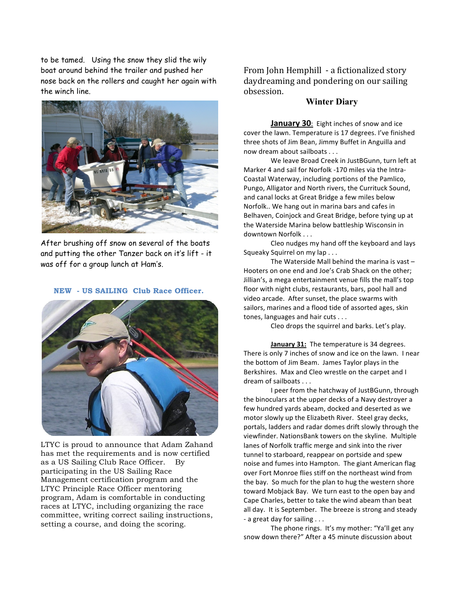to be tamed. Using the snow they slid the wily boat around behind the trailer and pushed her nose back on the rollers and caught her again with the winch line.



After brushing off snow on several of the boats and putting the other Tanzer back on it's lift - it was off for a group lunch at Ham's.

#### **NEW - US SAILING Club Race Officer.**



LTYC is proud to announce that Adam Zahand has met the requirements and is now certified as a US Sailing Club Race Officer. By participating in the US Sailing Race Management certification program and the LTYC Principle Race Officer mentoring program, Adam is comfortable in conducting races at LTYC, including organizing the race committee, writing correct sailing instructions, setting a course, and doing the scoring.

From John Hemphill - a fictionalized story daydreaming and pondering on our sailing obsession.

#### **Winter Diary**

**January 30:** Eight inches of snow and ice cover the lawn. Temperature is 17 degrees. I've finished three shots of Jim Bean, Jimmy Buffet in Anguilla and now dream about sailboats . . .

We leave Broad Creek in JustBGunn, turn left at Marker 4 and sail for Norfolk -170 miles via the Intra-Coastal Waterway, including portions of the Pamlico, Pungo, Alligator and North rivers, the Currituck Sound, and canal locks at Great Bridge a few miles below Norfolk.. We hang out in marina bars and cafes in Belhaven, Coinjock and Great Bridge, before tying up at the Waterside Marina below battleship Wisconsin in downtown Norfolk . . .

Cleo nudges my hand off the keyboard and lays Squeaky Squirrel on my lap . . .

The Waterside Mall behind the marina is vast  $-$ Hooters on one end and Joe's Crab Shack on the other: Jillian's, a mega entertainment venue fills the mall's top floor with night clubs, restaurants, bars, pool hall and video arcade. After sunset, the place swarms with sailors, marines and a flood tide of assorted ages, skin tones, languages and hair cuts . . .

Cleo drops the squirrel and barks. Let's play.

**January 31:** The temperature is 34 degrees. There is only 7 inches of snow and ice on the lawn. I near the bottom of Jim Beam. James Taylor plays in the Berkshires. Max and Cleo wrestle on the carpet and I dream of sailboats . . .

I peer from the hatchway of JustBGunn, through the binoculars at the upper decks of a Navy destroyer a few hundred yards abeam, docked and deserted as we motor slowly up the Elizabeth River. Steel gray decks, portals, ladders and radar domes drift slowly through the viewfinder. NationsBank towers on the skyline. Multiple lanes of Norfolk traffic merge and sink into the river tunnel to starboard, reappear on portside and spew noise and fumes into Hampton. The giant American flag over Fort Monroe flies stiff on the northeast wind from the bay. So much for the plan to hug the western shore toward Mobjack Bay. We turn east to the open bay and Cape Charles, better to take the wind abeam than beat all day. It is September. The breeze is strong and steady - a great day for sailing . . .

The phone rings. It's my mother: "Ya'll get any snow down there?" After a 45 minute discussion about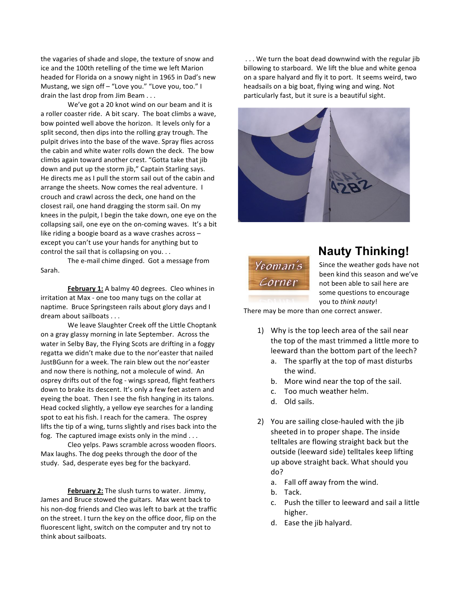the vagaries of shade and slope, the texture of snow and ice and the 100th retelling of the time we left Marion headed for Florida on a snowy night in 1965 in Dad's new Mustang, we sign off – "Love you." "Love you, too." I drain the last drop from Jim Beam . . .

We've got a 20 knot wind on our beam and it is a roller coaster ride. A bit scary. The boat climbs a wave, bow pointed well above the horizon. It levels only for a split second, then dips into the rolling gray trough. The pulpit drives into the base of the wave. Spray flies across the cabin and white water rolls down the deck. The bow climbs again toward another crest. "Gotta take that jib down and put up the storm jib," Captain Starling says. He directs me as I pull the storm sail out of the cabin and arrange the sheets. Now comes the real adventure. I crouch and crawl across the deck, one hand on the closest rail, one hand dragging the storm sail. On my knees in the pulpit, I begin the take down, one eye on the collapsing sail, one eye on the on-coming waves. It's a bit like riding a boogie board as a wave crashes across – except you can't use your hands for anything but to control the sail that is collapsing on you...

The e-mail chime dinged. Got a message from Sarah.

February 1: A balmy 40 degrees. Cleo whines in irritation at Max - one too many tugs on the collar at naptime. Bruce Springsteen rails about glory days and I dream about sailboats . . .

We leave Slaughter Creek off the Little Choptank on a gray glassy morning in late September. Across the water in Selby Bay, the Flying Scots are drifting in a foggy regatta we didn't make due to the nor'easter that nailed JustBGunn for a week. The rain blew out the nor'easter and now there is nothing, not a molecule of wind. An osprey drifts out of the fog - wings spread, flight feathers down to brake its descent. It's only a few feet astern and eyeing the boat. Then I see the fish hanging in its talons. Head cocked slightly, a yellow eye searches for a landing spot to eat his fish. I reach for the camera. The osprey lifts the tip of a wing, turns slightly and rises back into the fog. The captured image exists only in the mind  $\ldots$ 

Cleo yelps. Paws scramble across wooden floors. Max laughs. The dog peeks through the door of the study. Sad, desperate eyes beg for the backyard.

**February 2:** The slush turns to water. Jimmy, James and Bruce stowed the guitars. Max went back to his non-dog friends and Cleo was left to bark at the traffic on the street. I turn the key on the office door, flip on the fluorescent light, switch on the computer and try not to think about sailboats.

... We turn the boat dead downwind with the regular jib billowing to starboard. We lift the blue and white genoa on a spare halyard and fly it to port. It seems weird, two headsails on a big boat, flying wing and wing. Not particularly fast, but it sure is a beautiful sight.





### **Nauty Thinking!**

Since the weather gods have not been kind this season and we've not been able to sail here are some questions to encourage you to *think nauty*!

There may be more than one correct answer.

- 1) Why is the top leech area of the sail near the top of the mast trimmed a little more to leeward than the bottom part of the leech?
	- a. The sparfly at the top of mast disturbs the wind.
	- b. More wind near the top of the sail.
	- c. Too much weather helm.
	- d. Old sails.
- 2) You are sailing close-hauled with the jib sheeted in to proper shape. The inside telltales are flowing straight back but the outside (leeward side) telltales keep lifting up above straight back. What should you do?
	- a. Fall off away from the wind.
	- b. Tack.
	- c. Push the tiller to leeward and sail a little higher.
	- d. Ease the jib halyard.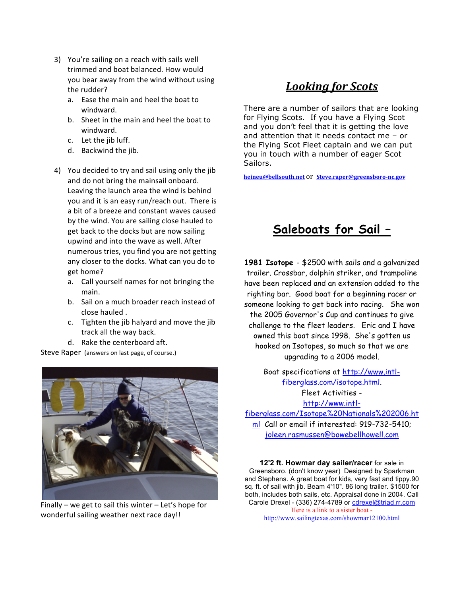- 3) You're sailing on a reach with sails well trimmed and boat balanced. How would you bear away from the wind without using the rudder?
	- a. Ease the main and heel the boat to windward.
	- b. Sheet in the main and heel the boat to windward.
	- c. Let the jib luff.
	- d. Backwind the jib.
- 4) You decided to try and sail using only the jib and do not bring the mainsail onboard. Leaving the launch area the wind is behind you and it is an easy run/reach out. There is a bit of a breeze and constant waves caused by the wind. You are sailing close hauled to get back to the docks but are now sailing upwind and into the wave as well. After numerous tries, you find you are not getting any closer to the docks. What can you do to get home?
	- a. Call yourself names for not bringing the main.
	- b. Sail on a much broader reach instead of close hauled.
	- c. Tighten the jib halyard and move the jib track all the way back.
	- d. Rake the centerboard aft.

Steve Raper (answers on last page, of course.)



Finally – we get to sail this winter – Let's hope for wonderful sailing weather next race day!!

### *Looking for Scots*

There are a number of sailors that are looking for Flying Scots. If you have a Flying Scot and you don't feel that it is getting the love and attention that it needs contact me – or the Flying Scot Fleet captain and we can put you in touch with a number of eager Scot Sailors.

**heineu@bellsouth.net** Or **Steve.raper@greensboro-nc.gov** 

# **Saleboats for Sail –**

**1981 Isotope** - \$2500 with sails and a galvanized trailer. Crossbar, dolphin striker, and trampoline have been replaced and an extension added to the righting bar. Good boat for a beginning racer or someone looking to get back into racing. She won the 2005 Governor's Cup and continues to give challenge to the fleet leaders. Eric and I have owned this boat since 1998. She's gotten us hooked on Isotopes, so much so that we are upgrading to a 2006 model.

> Boat specifications at http://www.intlfiberglass.com/isotope.html. Fleet Activities http://www.intl-

fiberglass.com/Isotope%20Nationals%202006.ht ml Call or email if interested: 919-732-5410; joleen.rasmussen@bowebellhowell.com

**12'2 ft. Howmar day sailer/racer** for sale in Greensboro. (don't know year) Designed by Sparkman and Stephens. A great boat for kids, very fast and tippy.90 sq. ft. of sail with jib. Beam 4'10". 86 long trailer. \$1500 for both, includes both sails, etc. Appraisal done in 2004. Call Carole Drexel - (336) 274-4789 or cdrexel@triad.rr.com Here is a link to a sister boat -

http://www.sailingtexas.com/showmar12100.html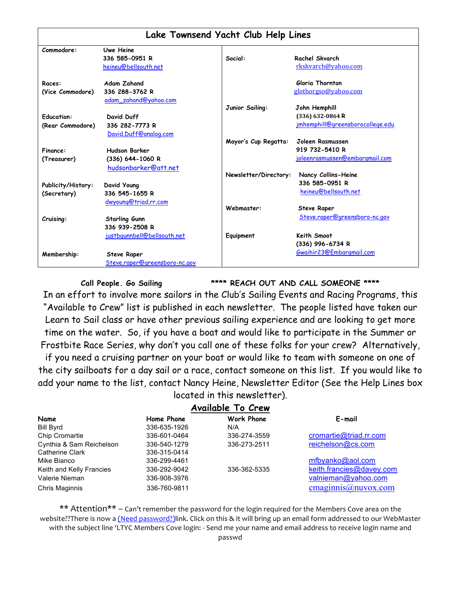| Lake Townsend Yacht Club Help Lines |                               |                       |                                  |  |  |
|-------------------------------------|-------------------------------|-----------------------|----------------------------------|--|--|
| Commodore:                          | Uwe Heine                     |                       |                                  |  |  |
|                                     | 336 585-0951 R                | Social:               | Rachel Skvarch                   |  |  |
|                                     | heineu@bellsouth.net          |                       | rkskvarch@yahoo.com              |  |  |
| Races:                              | <b>Adam Zahand</b>            |                       | Gloria Thornton                  |  |  |
| (Vice Commodore)                    | 336 288-3762 R                |                       | glothorgso@yahoo.com             |  |  |
|                                     | adam_zahand@yahoo.com         |                       |                                  |  |  |
|                                     |                               | Junior Sailing:       | John Hemphill                    |  |  |
| <b>Education:</b>                   | David Duff                    |                       | (336) 632-0864 R                 |  |  |
| (Rear Commodore)                    | 336 282-7773 R                |                       | jmhemphill@greensborocollege.edu |  |  |
|                                     | David.Duff@analog.com         |                       |                                  |  |  |
|                                     |                               | Mayor's Cup Regatta:  | Joleen Rasmussen                 |  |  |
| Finance:                            | <b>Hudson Barker</b>          |                       | 919 732-5410 R                   |  |  |
| (Treasurer)                         | (336) 644-1060 R              |                       | joleenrasmussen@embargmail.com   |  |  |
|                                     | hudsonbarker@att.net          |                       |                                  |  |  |
|                                     |                               | Newsletter/Directory: | Nancy Collins-Heine              |  |  |
| Publicity/History:                  | David Young                   |                       | 336 585-0951 R                   |  |  |
| (Secretary)                         | 336 545-1655 R                |                       | heineu@bellsouth.net             |  |  |
|                                     | dwyoung@triad.rr.com          |                       |                                  |  |  |
|                                     |                               | Webmaster:            | <b>Steve Raper</b>               |  |  |
| Cruising:                           | <b>Starling Gunn</b>          |                       | Steve.raper@greensboro-nc.gov    |  |  |
|                                     | 336 939-2508 R                |                       |                                  |  |  |
|                                     | justbgunnbell@bellsouth.net   | Equipment             | Keith Smoot                      |  |  |
|                                     |                               |                       | (336) 996-6734 R                 |  |  |
|                                     |                               |                       | Gwaihir23@Embargmail.com         |  |  |
| Membership:                         | <b>Steve Raper</b>            |                       |                                  |  |  |
|                                     | Steve.raper@greensboro-nc.gov |                       |                                  |  |  |

**Call People. Go Sailing \*\*\*\* REACH OUT AND CALL SOMEONE \*\*\*\***

In an effort to involve more sailors in the Club's Sailing Events and Racing Programs, this "Available to Crew" list is published in each newsletter. The people listed have taken our Learn to Sail class or have other previous sailing experience and are looking to get more time on the water. So, if you have a boat and would like to participate in the Summer or Frostbite Race Series, why don't you call one of these folks for your crew? Alternatively,

if you need a cruising partner on your boat or would like to team with someone on one of the city sailboats for a day sail or a race, contact someone on this list. If you would like to add your name to the list, contact Nancy Heine, Newsletter Editor (See the Help Lines box located in this newsletter).

#### **Available To Crew**

| Name                     | Home Phone   | Work Phone   | E-mail                      |
|--------------------------|--------------|--------------|-----------------------------|
| Bill Byrd                | 336-635-1926 | N/A          |                             |
| Chip Cromartie           | 336-601-0464 | 336-274-3559 | cromartie@triad.rr.com      |
| Cynthia & Sam Reichelson | 336-540-1279 | 336-273-2511 | reichelson@cs.com           |
| Catherine Clark          | 336-315-0414 |              |                             |
| Mike Bianco              | 336-299-4461 |              | mfbyanko@aol.com            |
| Keith and Kelly Francies | 336-292-9042 | 336-362-5335 | keith.francies@davey.com    |
| Valerie Nieman           | 336-908-3976 |              | valnieman@yahoo.com         |
| Chris Maginnis           | 336-760-9811 |              | cmag <u>innis@nuvox.com</u> |
|                          |              |              |                             |

\*\* Attention\*\* – Can't remember the password for the login required for the Members Cove area on the website??There is now a (Need password?)link. Click on this & it will bring up an email form addressed to our WebMaster with the subject line 'LTYC Members Cove login: - Send me your name and email address to receive login name and